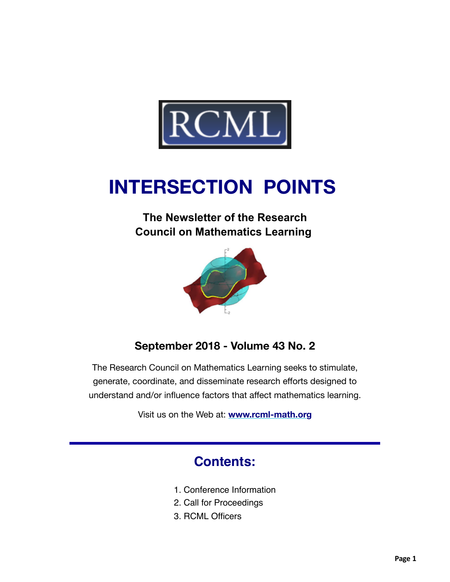

# **INTERSECTION POINTS**

## **The Newsletter of the Research Council on Mathematics Learning**



## **September 2018 - Volume 43 No. 2**

The Research Council on Mathematics Learning seeks to stimulate, generate, coordinate, and disseminate research efforts designed to understand and/or influence factors that affect mathematics learning.

Visit us on the Web at: **[www.rcml-math.org](https://na01.safelinks.protection.outlook.com/?url=https%3A%2F%2Frcml-math.us17.list-manage.com%2Ftrack%2Fclick%3Fu%3D862dd25d78268b9858c5fd964%26id%3D0d5623bf23%26e%3Ddde6215609&data=01%7C01%7CSarah.Pratt%40unt.edu%7Cd1ddda9bf57b4b3512b808d61342efd0%7C70de199207c6480fa318a1afcba03983%7C0&sdata=j70JDKvQSSPsXWwiculavgOwny7B48UBJ9JNZD%2BBtJ4%3D&reserved=0)**

## **Contents:**

- 1. Conference Information
- 2. Call for Proceedings
- 3. RCML Officers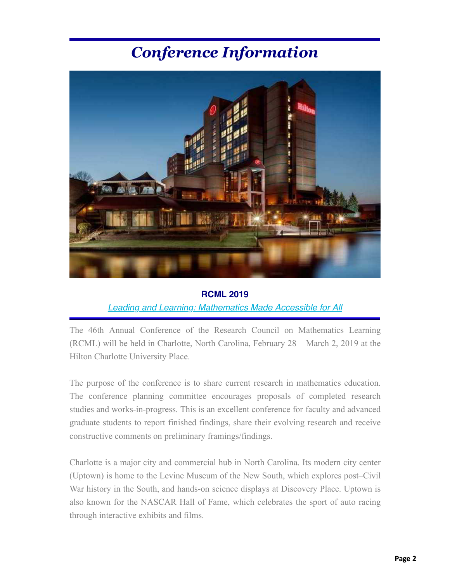## *Conference Information*



#### **RCML 2019**

#### *Leading and Learning: Mathematics Made Accessible for All*

The 46th Annual Conference of the Research Council on Mathematics Learning (RCML) [will be held in Charlotte, North Carolina, February 28 – March 2, 2](https://na01.safelinks.protection.outlook.com/?url=https%3A%2F%2Frcml-math.us17.list-manage.com%2Ftrack%2Fclick%3Fu%3D862dd25d78268b9858c5fd964%26id%3D5f05c5c9d8%26e%3Ddde6215609&data=01%7C01%7CSarah.Pratt%40unt.edu%7Cd1ddda9bf57b4b3512b808d61342efd0%7C70de199207c6480fa318a1afcba03983%7C0&sdata=pI6OBdXM9FpTqJ7IiSvpIeNPqprbVMCt%2F0wHoOaex18%3D&reserved=0)019 at the Hilton Charlotte University Place.

The purpose of the conference is to share current research in mathematics education. The conference planning committee encourages proposals of completed research studies and works-in-progress. This is an excellent conference for faculty and advanced graduate students to report finished findings, share their evolving research and receive constructive comments on preliminary framings/findings.

Charlotte is a major city and commercial hub in North Carolina. Its modern city center (Uptown) is home to the Levine Museum of the New South, which explores post–Civil War history in the South, and hands-on science displays at Discovery Place. Uptown is also known for the NASCAR Hall of Fame, which celebrates the sport of auto racing through interactive exhibits and films.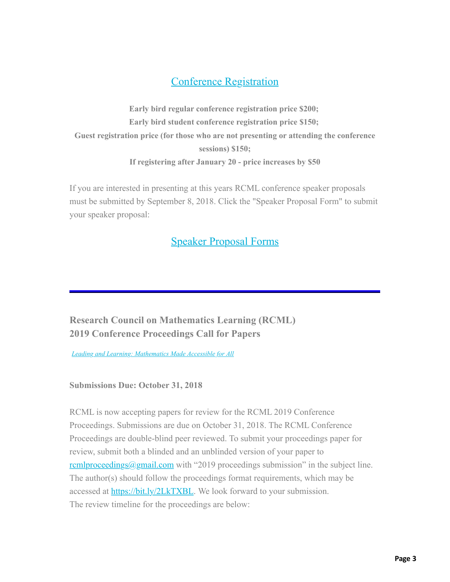### [Conference Registration](https://na01.safelinks.protection.outlook.com/?url=https%3A%2F%2Frcml-math.us17.list-manage.com%2Ftrack%2Fclick%3Fu%3D862dd25d78268b9858c5fd964%26id%3D41dfdb1a21%26e%3Ddde6215609&data=01%7C01%7CSarah.Pratt%40unt.edu%7Cd1ddda9bf57b4b3512b808d61342efd0%7C70de199207c6480fa318a1afcba03983%7C0&sdata=nxLTNnQK1Hf92Ehq%2BJa9E7y0ziFxi9ZfKTQWWCY%2BPf4%3D&reserved=0)

**Early bird regular conference registration price \$200; Early bird student conference registration price \$150; Guest registration price (for those who are not presenting or attending the conference sessions) \$150; If registering after January 20 - price increases by \$50**

If you are interested in presenting at this years RCML conference speaker proposals must be submitted by September 8, 2018. Click the "Speaker Proposal Form" to submit your speaker proposal:

### [Speaker Proposal Forms](https://na01.safelinks.protection.outlook.com/?url=https%3A%2F%2Frcml-math.us17.list-manage.com%2Ftrack%2Fclick%3Fu%3D862dd25d78268b9858c5fd964%26id%3Dc52ff700e9%26e%3Ddde6215609&data=01%7C01%7CSarah.Pratt%40unt.edu%7Cd1ddda9bf57b4b3512b808d61342efd0%7C70de199207c6480fa318a1afcba03983%7C0&sdata=7TIjrEsE3P9izV5j%2FCoJXO3kBL7ffWTLeZdkDYspmNQ%3D&reserved=0)

**Research Council on Mathematics Learning (RCML) 2019 Conference Proceedings Call for Papers**

*[Leading and Learning: Mathematics Made Accessible for All](https://na01.safelinks.protection.outlook.com/?url=https%3A%2F%2Frcml-math.us17.list-manage.com%2Ftrack%2Fclick%3Fu%3D862dd25d78268b9858c5fd964%26id%3Dcc6935ee8a%26e%3Ddde6215609&data=01%7C01%7CSarah.Pratt%40unt.edu%7Cd1ddda9bf57b4b3512b808d61342efd0%7C70de199207c6480fa318a1afcba03983%7C0&sdata=kx2vDvqY84BgS7JM%2FYrRKTiIV%2F3KPwTgvb8h1kUQQ2I%3D&reserved=0)*

**Submissions Due: October 31, 2018**

RCML is now accepting papers for review for the RCML 2019 Conference Proceedings. Submissions are due on October 31, 2018. The RCML Conference Proceedings are double-blind peer reviewed. To submit your proceedings paper for review, submit both a blinded and an unblinded version of your paper to  $remlyroceedings@gmail.com with "2019 proceedings submission" in the subject line.$ </u> The author(s) should follow the proceedings format requirements, which may be accessed at [https://bit.ly/2LkTXBL.](https://na01.safelinks.protection.outlook.com/?url=https%3A%2F%2Frcml-math.us17.list-manage.com%2Ftrack%2Fclick%3Fu%3D862dd25d78268b9858c5fd964%26id%3De57435a217%26e%3Ddde6215609&data=01%7C01%7CSarah.Pratt%40unt.edu%7Cd1ddda9bf57b4b3512b808d61342efd0%7C70de199207c6480fa318a1afcba03983%7C0&sdata=bE7V%2FIcIsxZsynZIf4QI7aysgo09fnOk24AEo53eq6U%3D&reserved=0) We look forward to your submission. The review timeline for the proceedings are below: